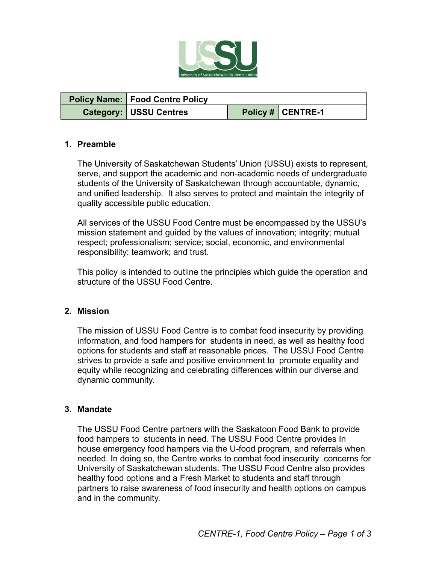

| <b>Policy Name: Food Centre Policy</b> |                   |
|----------------------------------------|-------------------|
| <b>Category: USSU Centres</b>          | Policy # CENTRE-1 |

## **1. Preamble**

The University of Saskatchewan Students' Union (USSU) exists to represent, serve, and support the academic and non-academic needs of undergraduate students of the University of Saskatchewan through accountable, dynamic, and unified leadership. It also serves to protect and maintain the integrity of quality accessible public education.

All services of the USSU Food Centre must be encompassed by the USSU's mission statement and guided by the values of innovation; integrity; mutual respect; professionalism; service; social, economic, and environmental responsibility; teamwork; and trust.

This policy is intended to outline the principles which guide the operation and structure of the USSU Food Centre.

#### **2. Mission**

The mission of USSU Food Centre is to combat food insecurity by providing information, and food hampers for students in need, as well as healthy food options for students and staff at reasonable prices. The USSU Food Centre strives to provide a safe and positive environment to promote equality and equity while recognizing and celebrating differences within our diverse and dynamic community.

#### **3. Mandate**

The USSU Food Centre partners with the Saskatoon Food Bank to provide food hampers to students in need. The USSU Food Centre provides In house emergency food hampers via the U-food program, and referrals when needed. In doing so, the Centre works to combat food insecurity concerns for University of Saskatchewan students. The USSU Food Centre also provides healthy food options and a Fresh Market to students and staff through partners to raise awareness of food insecurity and health options on campus and in the community.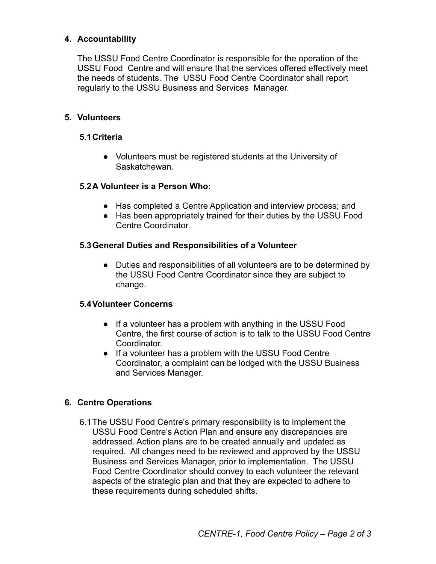## **4. Accountability**

The USSU Food Centre Coordinator is responsible for the operation of the USSU Food Centre and will ensure that the services offered effectively meet the needs of students. The USSU Food Centre Coordinator shall report regularly to the USSU Business and Services Manager.

## **5. Volunteers**

## **5.1Criteria**

● Volunteers must be registered students at the University of Saskatchewan.

### **5.2A Volunteer is a Person Who:**

- Has completed a Centre Application and interview process; and
- Has been appropriately trained for their duties by the USSU Food Centre Coordinator.

### **5.3General Duties and Responsibilities of a Volunteer**

• Duties and responsibilities of all volunteers are to be determined by the USSU Food Centre Coordinator since they are subject to change.

## **5.4Volunteer Concerns**

- If a volunteer has a problem with anything in the USSU Food Centre, the first course of action is to talk to the USSU Food Centre Coordinator.
- If a volunteer has a problem with the USSU Food Centre Coordinator, a complaint can be lodged with the USSU Business and Services Manager.

## **6. Centre Operations**

6.1The USSU Food Centre's primary responsibility is to implement the USSU Food Centre's Action Plan and ensure any discrepancies are addressed. Action plans are to be created annually and updated as required. All changes need to be reviewed and approved by the USSU Business and Services Manager, prior to implementation. The USSU Food Centre Coordinator should convey to each volunteer the relevant aspects of the strategic plan and that they are expected to adhere to these requirements during scheduled shifts.